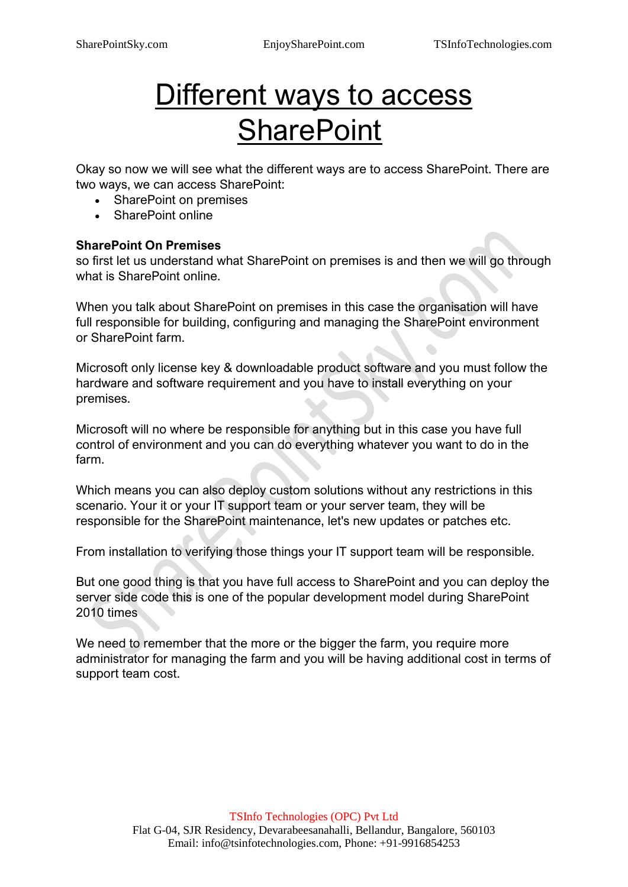# Different ways to access **SharePoint**

Okay so now we will see what the different ways are to access SharePoint. There are two ways, we can access SharePoint:

- SharePoint on premises
- SharePoint online

#### **SharePoint On Premises**

so first let us understand what SharePoint on premises is and then we will go through what is SharePoint online.

When you talk about SharePoint on premises in this case the organisation will have full responsible for building, configuring and managing the SharePoint environment or SharePoint farm.

Microsoft only license key & downloadable product software and you must follow the hardware and software requirement and you have to install everything on your premises.

Microsoft will no where be responsible for anything but in this case you have full control of environment and you can do everything whatever you want to do in the farm.

Which means you can also deploy custom solutions without any restrictions in this scenario. Your it or your IT support team or your server team, they will be responsible for the SharePoint maintenance, let's new updates or patches etc.

From installation to verifying those things your IT support team will be responsible.

But one good thing is that you have full access to SharePoint and you can deploy the server side code this is one of the popular development model during SharePoint 2010 times

We need to remember that the more or the bigger the farm, you require more administrator for managing the farm and you will be having additional cost in terms of support team cost.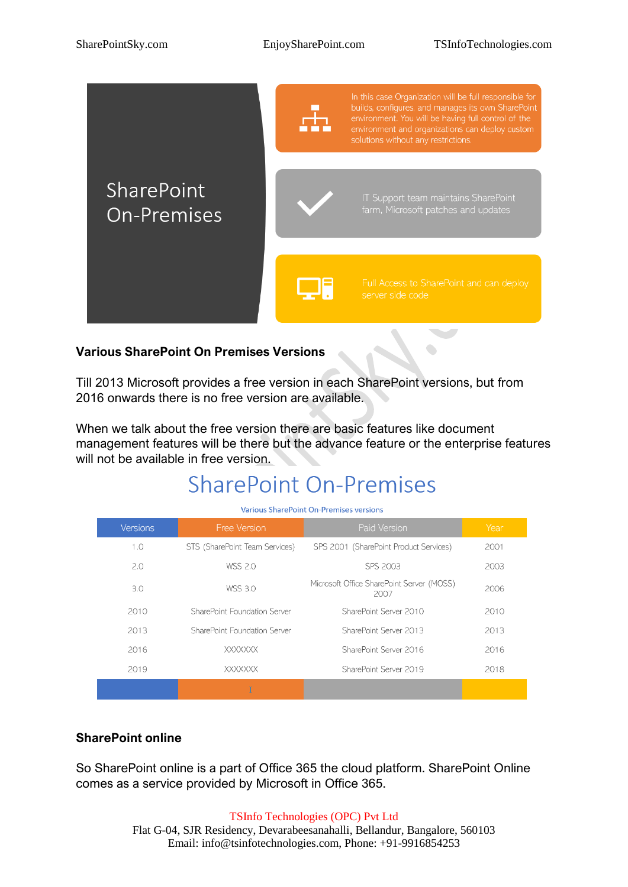$\bullet$ 



#### **Various SharePoint On Premises Versions**

Till 2013 Microsoft provides a free version in each SharePoint versions, but from 2016 onwards there is no free version are available.

When we talk about the free version there are basic features like document management features will be there but the advance feature or the enterprise features will not be available in free version.

### **SharePoint On-Premises**

| <b>Various SharePoint On-Premises versions</b> |                                |                                                   |      |
|------------------------------------------------|--------------------------------|---------------------------------------------------|------|
| <b>Versions</b>                                | <b>Free Version</b>            | Paid Version                                      | Year |
| 1.0                                            | STS (SharePoint Team Services) | SPS 2001 (SharePoint Product Services)            | 2001 |
| 2.0                                            | <b>WSS 2.0</b>                 | SPS 2003                                          | 2003 |
| 3.0                                            | <b>WSS 3.0</b>                 | Microsoft Office SharePoint Server (MOSS)<br>2007 | 2006 |
| 2010                                           | SharePoint Foundation Server   | SharePoint Server 2010                            | 2010 |
| 2013                                           | SharePoint Foundation Server   | SharePoint Server 2013                            | 2013 |
| 2016                                           | <b>XXXXXXX</b>                 | SharePoint Server 2016                            | 2016 |
| 2019                                           | <b>XXXXXXX</b>                 | SharePoint Server 2019                            | 2018 |
|                                                |                                |                                                   |      |

#### **SharePoint online**

So SharePoint online is a part of Office 365 the cloud platform. SharePoint Online comes as a service provided by Microsoft in Office 365.

#### TSInfo Technologies (OPC) Pvt Ltd

Flat G-04, SJR Residency, Devarabeesanahalli, Bellandur, Bangalore, 560103 Email: info@tsinfotechnologies.com, Phone: +91-9916854253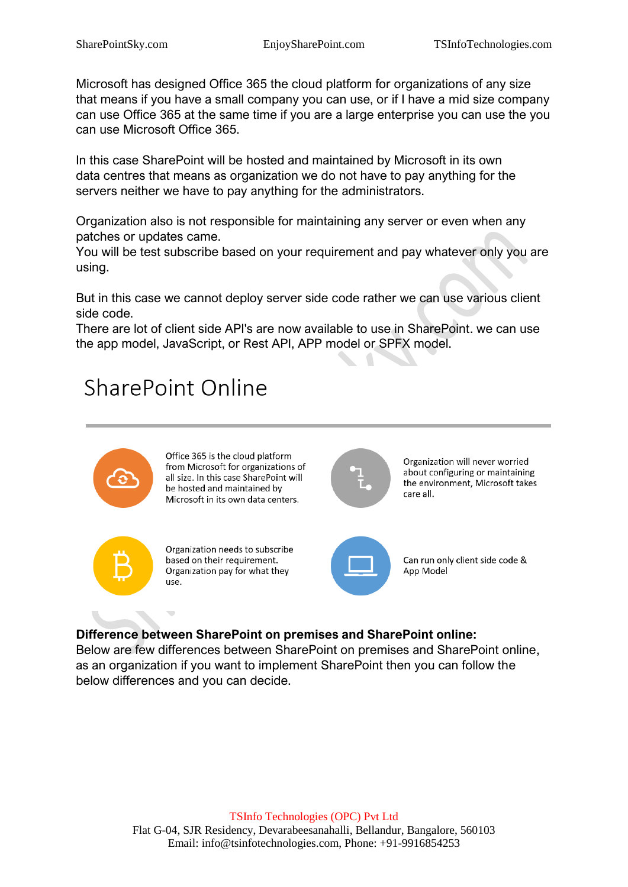Microsoft has designed Office 365 the cloud platform for organizations of any size that means if you have a small company you can use, or if I have a mid size company can use Office 365 at the same time if you are a large enterprise you can use the you can use Microsoft Office 365.

In this case SharePoint will be hosted and maintained by Microsoft in its own data centres that means as organization we do not have to pay anything for the servers neither we have to pay anything for the administrators.

Organization also is not responsible for maintaining any server or even when any patches or updates came.

You will be test subscribe based on your requirement and pay whatever only you are using.

But in this case we cannot deploy server side code rather we can use various client side code.

There are lot of client side API's are now available to use in SharePoint. we can use the app model, JavaScript, or Rest API, APP model or SPFX model.

### **SharePoint Online**



Office 365 is the cloud platform from Microsoft for organizations of all size. In this case SharePoint will be hosted and maintained by Microsoft in its own data centers.



Organization will never worried about configuring or maintaining the environment, Microsoft takes care all.



Organization needs to subscribe based on their requirement. Organization pay for what they use.



Can run only client side code & App Model

### **Difference between SharePoint on premises and SharePoint online:**

Below are few differences between SharePoint on premises and SharePoint online, as an organization if you want to implement SharePoint then you can follow the below differences and you can decide.